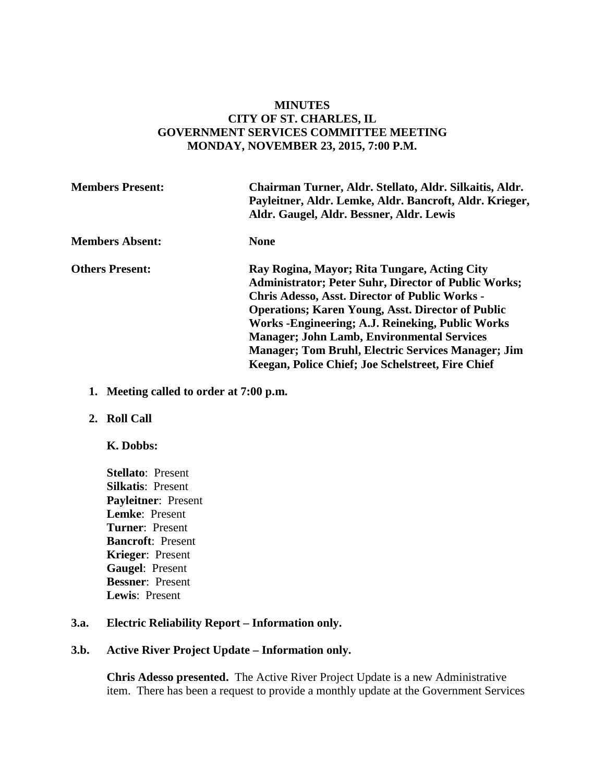#### **MINUTES CITY OF ST. CHARLES, IL GOVERNMENT SERVICES COMMITTEE MEETING MONDAY, NOVEMBER 23, 2015, 7:00 P.M.**

| <b>Members Present:</b> | Chairman Turner, Aldr. Stellato, Aldr. Silkaitis, Aldr.<br>Payleitner, Aldr. Lemke, Aldr. Bancroft, Aldr. Krieger,<br>Aldr. Gaugel, Aldr. Bessner, Aldr. Lewis                                                                                                                                                                                                                                                                                                 |
|-------------------------|----------------------------------------------------------------------------------------------------------------------------------------------------------------------------------------------------------------------------------------------------------------------------------------------------------------------------------------------------------------------------------------------------------------------------------------------------------------|
| <b>Members Absent:</b>  | <b>None</b>                                                                                                                                                                                                                                                                                                                                                                                                                                                    |
| <b>Others Present:</b>  | Ray Rogina, Mayor; Rita Tungare, Acting City<br><b>Administrator; Peter Suhr, Director of Public Works;</b><br><b>Chris Adesso, Asst. Director of Public Works -</b><br><b>Operations; Karen Young, Asst. Director of Public</b><br>Works - Engineering; A.J. Reineking, Public Works<br><b>Manager</b> ; John Lamb, Environmental Services<br><b>Manager</b> ; Tom Bruhl, Electric Services Manager; Jim<br>Keegan, Police Chief; Joe Schelstreet, Fire Chief |

- **1. Meeting called to order at 7:00 p.m.**
- **2. Roll Call** 
	- **K. Dobbs:**
	- **Stellato**: Present **Silkatis**: Present **Payleitner**: Present **Lemke**: Present **Turner**: Present **Bancroft**: Present **Krieger**: Present **Gaugel**: Present **Bessner**: Present **Lewis**: Present

#### **3.a. Electric Reliability Report – Information only.**

#### **3.b. Active River Project Update – Information only.**

**Chris Adesso presented.** The Active River Project Update is a new Administrative item. There has been a request to provide a monthly update at the Government Services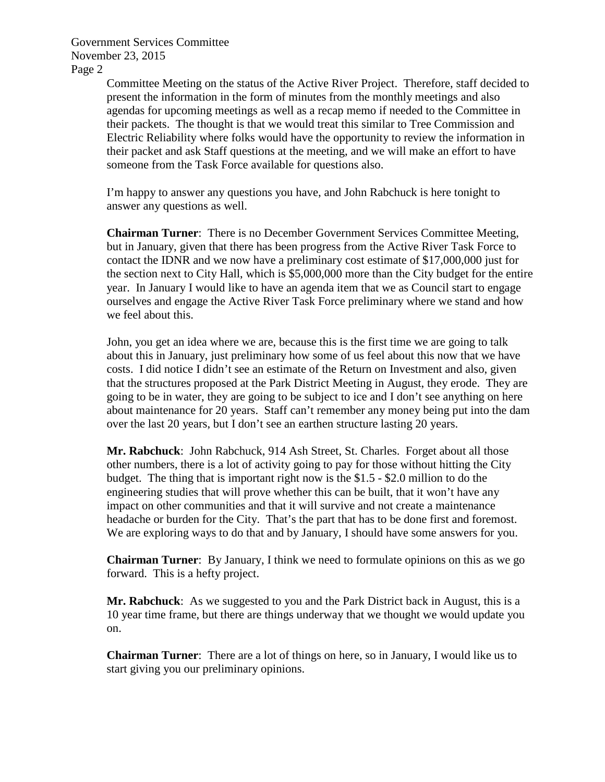> Committee Meeting on the status of the Active River Project. Therefore, staff decided to present the information in the form of minutes from the monthly meetings and also agendas for upcoming meetings as well as a recap memo if needed to the Committee in their packets. The thought is that we would treat this similar to Tree Commission and Electric Reliability where folks would have the opportunity to review the information in their packet and ask Staff questions at the meeting, and we will make an effort to have someone from the Task Force available for questions also.

I'm happy to answer any questions you have, and John Rabchuck is here tonight to answer any questions as well.

**Chairman Turner**: There is no December Government Services Committee Meeting, but in January, given that there has been progress from the Active River Task Force to contact the IDNR and we now have a preliminary cost estimate of \$17,000,000 just for the section next to City Hall, which is \$5,000,000 more than the City budget for the entire year. In January I would like to have an agenda item that we as Council start to engage ourselves and engage the Active River Task Force preliminary where we stand and how we feel about this.

John, you get an idea where we are, because this is the first time we are going to talk about this in January, just preliminary how some of us feel about this now that we have costs. I did notice I didn't see an estimate of the Return on Investment and also, given that the structures proposed at the Park District Meeting in August, they erode. They are going to be in water, they are going to be subject to ice and I don't see anything on here about maintenance for 20 years. Staff can't remember any money being put into the dam over the last 20 years, but I don't see an earthen structure lasting 20 years.

**Mr. Rabchuck**: John Rabchuck, 914 Ash Street, St. Charles. Forget about all those other numbers, there is a lot of activity going to pay for those without hitting the City budget. The thing that is important right now is the \$1.5 - \$2.0 million to do the engineering studies that will prove whether this can be built, that it won't have any impact on other communities and that it will survive and not create a maintenance headache or burden for the City. That's the part that has to be done first and foremost. We are exploring ways to do that and by January, I should have some answers for you.

**Chairman Turner**: By January, I think we need to formulate opinions on this as we go forward. This is a hefty project.

**Mr. Rabchuck**: As we suggested to you and the Park District back in August, this is a 10 year time frame, but there are things underway that we thought we would update you on.

**Chairman Turner**: There are a lot of things on here, so in January, I would like us to start giving you our preliminary opinions.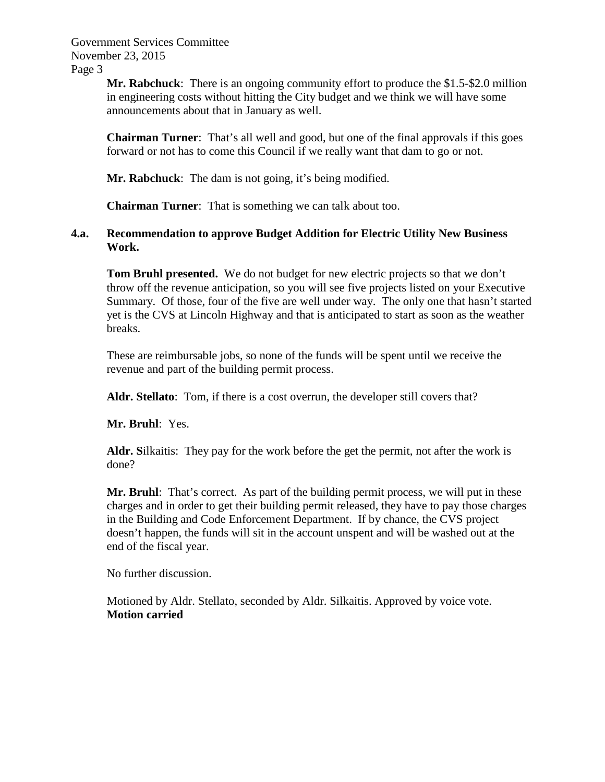> **Mr. Rabchuck**: There is an ongoing community effort to produce the \$1.5-\$2.0 million in engineering costs without hitting the City budget and we think we will have some announcements about that in January as well.

> **Chairman Turner**: That's all well and good, but one of the final approvals if this goes forward or not has to come this Council if we really want that dam to go or not.

**Mr. Rabchuck**: The dam is not going, it's being modified.

**Chairman Turner**: That is something we can talk about too.

#### **4.a. Recommendation to approve Budget Addition for Electric Utility New Business Work.**

**Tom Bruhl presented.** We do not budget for new electric projects so that we don't throw off the revenue anticipation, so you will see five projects listed on your Executive Summary. Of those, four of the five are well under way. The only one that hasn't started yet is the CVS at Lincoln Highway and that is anticipated to start as soon as the weather breaks.

These are reimbursable jobs, so none of the funds will be spent until we receive the revenue and part of the building permit process.

**Aldr. Stellato**: Tom, if there is a cost overrun, the developer still covers that?

**Mr. Bruhl**: Yes.

**Aldr. S**ilkaitis: They pay for the work before the get the permit, not after the work is done?

**Mr. Bruhl**: That's correct. As part of the building permit process, we will put in these charges and in order to get their building permit released, they have to pay those charges in the Building and Code Enforcement Department. If by chance, the CVS project doesn't happen, the funds will sit in the account unspent and will be washed out at the end of the fiscal year.

No further discussion.

Motioned by Aldr. Stellato, seconded by Aldr. Silkaitis. Approved by voice vote. **Motion carried**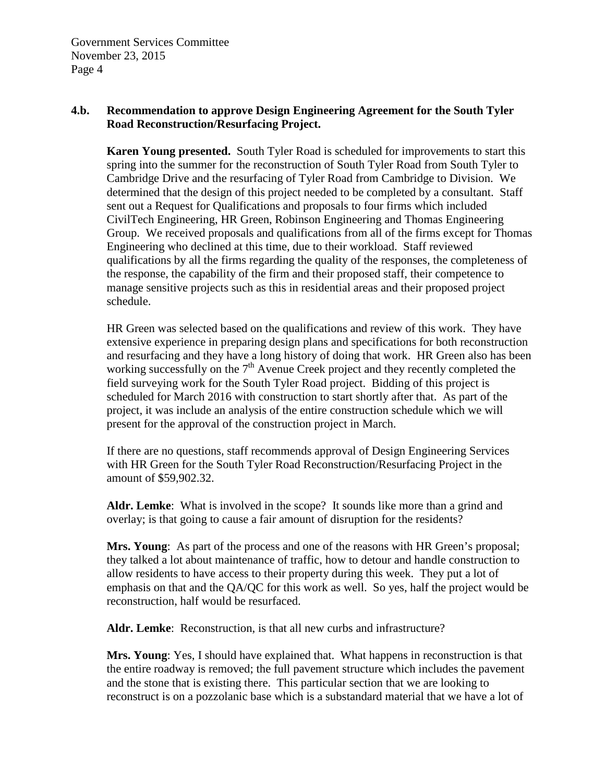#### **4.b. Recommendation to approve Design Engineering Agreement for the South Tyler Road Reconstruction/Resurfacing Project.**

**Karen Young presented.** South Tyler Road is scheduled for improvements to start this spring into the summer for the reconstruction of South Tyler Road from South Tyler to Cambridge Drive and the resurfacing of Tyler Road from Cambridge to Division. We determined that the design of this project needed to be completed by a consultant. Staff sent out a Request for Qualifications and proposals to four firms which included CivilTech Engineering, HR Green, Robinson Engineering and Thomas Engineering Group. We received proposals and qualifications from all of the firms except for Thomas Engineering who declined at this time, due to their workload. Staff reviewed qualifications by all the firms regarding the quality of the responses, the completeness of the response, the capability of the firm and their proposed staff, their competence to manage sensitive projects such as this in residential areas and their proposed project schedule.

HR Green was selected based on the qualifications and review of this work. They have extensive experience in preparing design plans and specifications for both reconstruction and resurfacing and they have a long history of doing that work. HR Green also has been working successfully on the  $7<sup>th</sup>$  Avenue Creek project and they recently completed the field surveying work for the South Tyler Road project. Bidding of this project is scheduled for March 2016 with construction to start shortly after that. As part of the project, it was include an analysis of the entire construction schedule which we will present for the approval of the construction project in March.

If there are no questions, staff recommends approval of Design Engineering Services with HR Green for the South Tyler Road Reconstruction/Resurfacing Project in the amount of \$59,902.32.

**Aldr. Lemke**: What is involved in the scope? It sounds like more than a grind and overlay; is that going to cause a fair amount of disruption for the residents?

**Mrs. Young**: As part of the process and one of the reasons with HR Green's proposal; they talked a lot about maintenance of traffic, how to detour and handle construction to allow residents to have access to their property during this week. They put a lot of emphasis on that and the QA/QC for this work as well. So yes, half the project would be reconstruction, half would be resurfaced.

**Aldr. Lemke**: Reconstruction, is that all new curbs and infrastructure?

**Mrs. Young**: Yes, I should have explained that. What happens in reconstruction is that the entire roadway is removed; the full pavement structure which includes the pavement and the stone that is existing there. This particular section that we are looking to reconstruct is on a pozzolanic base which is a substandard material that we have a lot of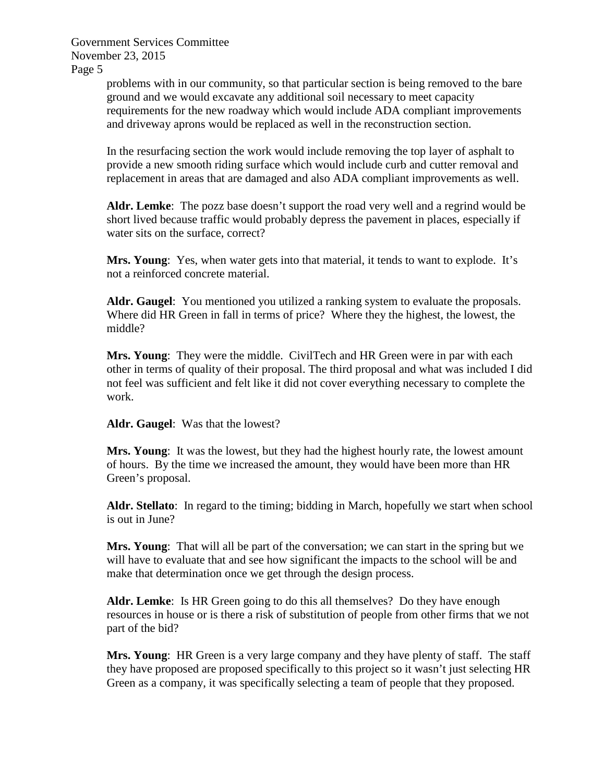> problems with in our community, so that particular section is being removed to the bare ground and we would excavate any additional soil necessary to meet capacity requirements for the new roadway which would include ADA compliant improvements and driveway aprons would be replaced as well in the reconstruction section.

> In the resurfacing section the work would include removing the top layer of asphalt to provide a new smooth riding surface which would include curb and cutter removal and replacement in areas that are damaged and also ADA compliant improvements as well.

**Aldr. Lemke**: The pozz base doesn't support the road very well and a regrind would be short lived because traffic would probably depress the pavement in places, especially if water sits on the surface, correct?

**Mrs. Young**: Yes, when water gets into that material, it tends to want to explode. It's not a reinforced concrete material.

**Aldr. Gaugel**: You mentioned you utilized a ranking system to evaluate the proposals. Where did HR Green in fall in terms of price? Where they the highest, the lowest, the middle?

**Mrs. Young**: They were the middle. CivilTech and HR Green were in par with each other in terms of quality of their proposal. The third proposal and what was included I did not feel was sufficient and felt like it did not cover everything necessary to complete the work.

**Aldr. Gaugel**: Was that the lowest?

**Mrs. Young**: It was the lowest, but they had the highest hourly rate, the lowest amount of hours. By the time we increased the amount, they would have been more than HR Green's proposal.

**Aldr. Stellato**: In regard to the timing; bidding in March, hopefully we start when school is out in June?

**Mrs. Young**: That will all be part of the conversation; we can start in the spring but we will have to evaluate that and see how significant the impacts to the school will be and make that determination once we get through the design process.

**Aldr. Lemke**: Is HR Green going to do this all themselves? Do they have enough resources in house or is there a risk of substitution of people from other firms that we not part of the bid?

**Mrs. Young:** HR Green is a very large company and they have plenty of staff. The staff they have proposed are proposed specifically to this project so it wasn't just selecting HR Green as a company, it was specifically selecting a team of people that they proposed.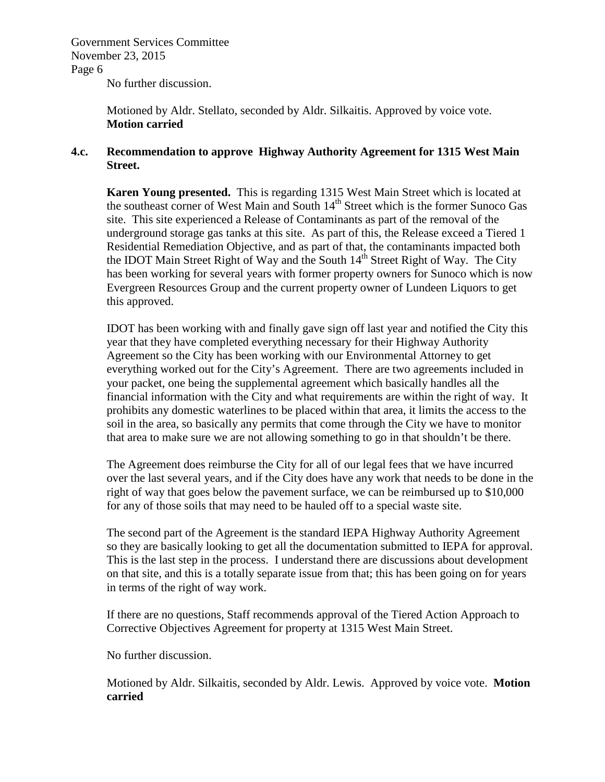No further discussion.

Motioned by Aldr. Stellato, seconded by Aldr. Silkaitis. Approved by voice vote. **Motion carried**

#### **4.c. Recommendation to approve Highway Authority Agreement for 1315 West Main Street.**

**Karen Young presented.** This is regarding 1315 West Main Street which is located at the southeast corner of West Main and South 14<sup>th</sup> Street which is the former Sunoco Gas site. This site experienced a Release of Contaminants as part of the removal of the underground storage gas tanks at this site. As part of this, the Release exceed a Tiered 1 Residential Remediation Objective, and as part of that, the contaminants impacted both the IDOT Main Street Right of Way and the South  $14<sup>th</sup>$  Street Right of Way. The City has been working for several years with former property owners for Sunoco which is now Evergreen Resources Group and the current property owner of Lundeen Liquors to get this approved.

IDOT has been working with and finally gave sign off last year and notified the City this year that they have completed everything necessary for their Highway Authority Agreement so the City has been working with our Environmental Attorney to get everything worked out for the City's Agreement. There are two agreements included in your packet, one being the supplemental agreement which basically handles all the financial information with the City and what requirements are within the right of way. It prohibits any domestic waterlines to be placed within that area, it limits the access to the soil in the area, so basically any permits that come through the City we have to monitor that area to make sure we are not allowing something to go in that shouldn't be there.

The Agreement does reimburse the City for all of our legal fees that we have incurred over the last several years, and if the City does have any work that needs to be done in the right of way that goes below the pavement surface, we can be reimbursed up to \$10,000 for any of those soils that may need to be hauled off to a special waste site.

The second part of the Agreement is the standard IEPA Highway Authority Agreement so they are basically looking to get all the documentation submitted to IEPA for approval. This is the last step in the process. I understand there are discussions about development on that site, and this is a totally separate issue from that; this has been going on for years in terms of the right of way work.

If there are no questions, Staff recommends approval of the Tiered Action Approach to Corrective Objectives Agreement for property at 1315 West Main Street.

No further discussion.

Motioned by Aldr. Silkaitis, seconded by Aldr. Lewis. Approved by voice vote. **Motion carried**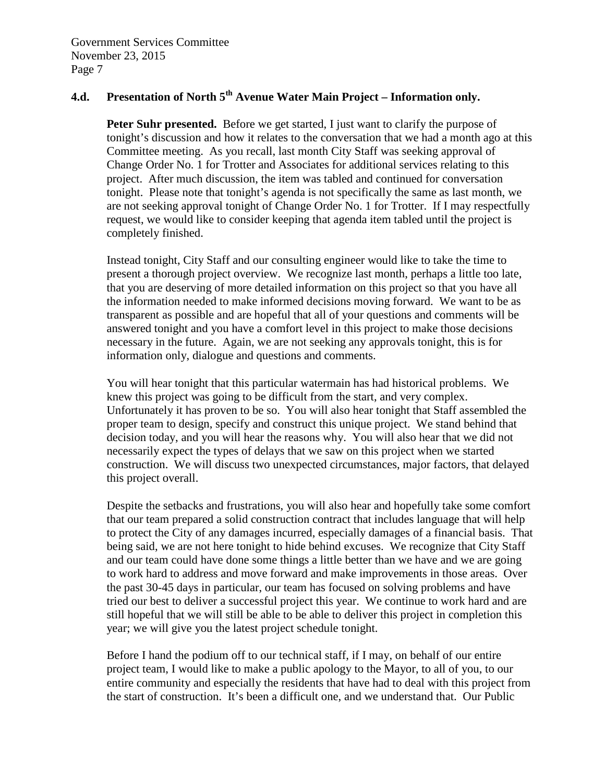# **4.d. Presentation of North 5th Avenue Water Main Project – Information only.**

**Peter Suhr presented.** Before we get started, I just want to clarify the purpose of tonight's discussion and how it relates to the conversation that we had a month ago at this Committee meeting. As you recall, last month City Staff was seeking approval of Change Order No. 1 for Trotter and Associates for additional services relating to this project. After much discussion, the item was tabled and continued for conversation tonight. Please note that tonight's agenda is not specifically the same as last month, we are not seeking approval tonight of Change Order No. 1 for Trotter. If I may respectfully request, we would like to consider keeping that agenda item tabled until the project is completely finished.

Instead tonight, City Staff and our consulting engineer would like to take the time to present a thorough project overview. We recognize last month, perhaps a little too late, that you are deserving of more detailed information on this project so that you have all the information needed to make informed decisions moving forward. We want to be as transparent as possible and are hopeful that all of your questions and comments will be answered tonight and you have a comfort level in this project to make those decisions necessary in the future. Again, we are not seeking any approvals tonight, this is for information only, dialogue and questions and comments.

You will hear tonight that this particular watermain has had historical problems. We knew this project was going to be difficult from the start, and very complex. Unfortunately it has proven to be so. You will also hear tonight that Staff assembled the proper team to design, specify and construct this unique project. We stand behind that decision today, and you will hear the reasons why. You will also hear that we did not necessarily expect the types of delays that we saw on this project when we started construction. We will discuss two unexpected circumstances, major factors, that delayed this project overall.

Despite the setbacks and frustrations, you will also hear and hopefully take some comfort that our team prepared a solid construction contract that includes language that will help to protect the City of any damages incurred, especially damages of a financial basis. That being said, we are not here tonight to hide behind excuses. We recognize that City Staff and our team could have done some things a little better than we have and we are going to work hard to address and move forward and make improvements in those areas. Over the past 30-45 days in particular, our team has focused on solving problems and have tried our best to deliver a successful project this year. We continue to work hard and are still hopeful that we will still be able to be able to deliver this project in completion this year; we will give you the latest project schedule tonight.

Before I hand the podium off to our technical staff, if I may, on behalf of our entire project team, I would like to make a public apology to the Mayor, to all of you, to our entire community and especially the residents that have had to deal with this project from the start of construction. It's been a difficult one, and we understand that. Our Public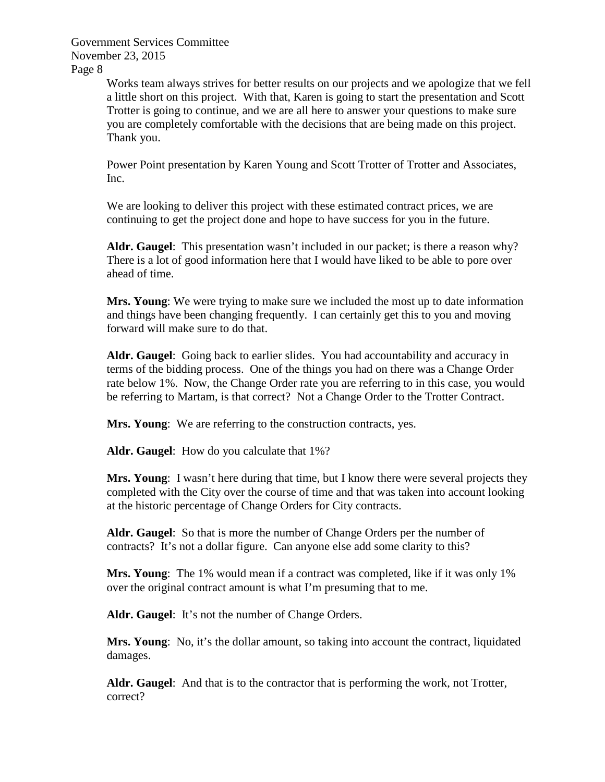> Works team always strives for better results on our projects and we apologize that we fell a little short on this project. With that, Karen is going to start the presentation and Scott Trotter is going to continue, and we are all here to answer your questions to make sure you are completely comfortable with the decisions that are being made on this project. Thank you.

Power Point presentation by Karen Young and Scott Trotter of Trotter and Associates, Inc.

We are looking to deliver this project with these estimated contract prices, we are continuing to get the project done and hope to have success for you in the future.

**Aldr. Gaugel**: This presentation wasn't included in our packet; is there a reason why? There is a lot of good information here that I would have liked to be able to pore over ahead of time.

**Mrs. Young**: We were trying to make sure we included the most up to date information and things have been changing frequently. I can certainly get this to you and moving forward will make sure to do that.

**Aldr. Gaugel**: Going back to earlier slides. You had accountability and accuracy in terms of the bidding process. One of the things you had on there was a Change Order rate below 1%. Now, the Change Order rate you are referring to in this case, you would be referring to Martam, is that correct? Not a Change Order to the Trotter Contract.

**Mrs. Young**: We are referring to the construction contracts, yes.

**Aldr. Gaugel**: How do you calculate that 1%?

**Mrs. Young**: I wasn't here during that time, but I know there were several projects they completed with the City over the course of time and that was taken into account looking at the historic percentage of Change Orders for City contracts.

**Aldr. Gaugel**: So that is more the number of Change Orders per the number of contracts? It's not a dollar figure. Can anyone else add some clarity to this?

**Mrs. Young**: The 1% would mean if a contract was completed, like if it was only 1% over the original contract amount is what I'm presuming that to me.

Aldr. Gaugel: It's not the number of Change Orders.

**Mrs. Young**: No, it's the dollar amount, so taking into account the contract, liquidated damages.

**Aldr. Gaugel**: And that is to the contractor that is performing the work, not Trotter, correct?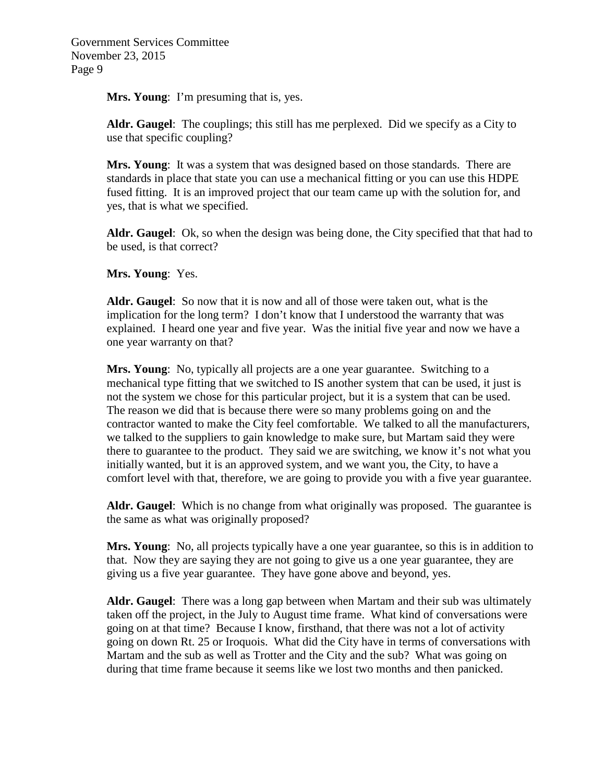**Mrs. Young**: I'm presuming that is, yes.

**Aldr. Gaugel**: The couplings; this still has me perplexed. Did we specify as a City to use that specific coupling?

**Mrs. Young**: It was a system that was designed based on those standards. There are standards in place that state you can use a mechanical fitting or you can use this HDPE fused fitting. It is an improved project that our team came up with the solution for, and yes, that is what we specified.

**Aldr. Gaugel**: Ok, so when the design was being done, the City specified that that had to be used, is that correct?

**Mrs. Young**: Yes.

**Aldr. Gaugel**: So now that it is now and all of those were taken out, what is the implication for the long term? I don't know that I understood the warranty that was explained. I heard one year and five year. Was the initial five year and now we have a one year warranty on that?

**Mrs. Young**: No, typically all projects are a one year guarantee. Switching to a mechanical type fitting that we switched to IS another system that can be used, it just is not the system we chose for this particular project, but it is a system that can be used. The reason we did that is because there were so many problems going on and the contractor wanted to make the City feel comfortable. We talked to all the manufacturers, we talked to the suppliers to gain knowledge to make sure, but Martam said they were there to guarantee to the product. They said we are switching, we know it's not what you initially wanted, but it is an approved system, and we want you, the City, to have a comfort level with that, therefore, we are going to provide you with a five year guarantee.

**Aldr. Gaugel**: Which is no change from what originally was proposed. The guarantee is the same as what was originally proposed?

**Mrs. Young**: No, all projects typically have a one year guarantee, so this is in addition to that. Now they are saying they are not going to give us a one year guarantee, they are giving us a five year guarantee. They have gone above and beyond, yes.

**Aldr. Gaugel**: There was a long gap between when Martam and their sub was ultimately taken off the project, in the July to August time frame. What kind of conversations were going on at that time? Because I know, firsthand, that there was not a lot of activity going on down Rt. 25 or Iroquois. What did the City have in terms of conversations with Martam and the sub as well as Trotter and the City and the sub? What was going on during that time frame because it seems like we lost two months and then panicked.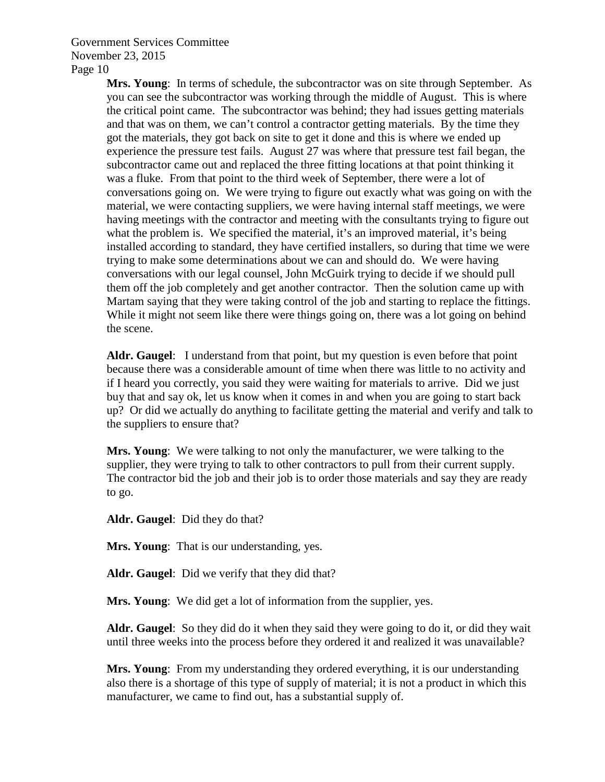> **Mrs. Young**: In terms of schedule, the subcontractor was on site through September. As you can see the subcontractor was working through the middle of August. This is where the critical point came. The subcontractor was behind; they had issues getting materials and that was on them, we can't control a contractor getting materials. By the time they got the materials, they got back on site to get it done and this is where we ended up experience the pressure test fails. August 27 was where that pressure test fail began, the subcontractor came out and replaced the three fitting locations at that point thinking it was a fluke. From that point to the third week of September, there were a lot of conversations going on. We were trying to figure out exactly what was going on with the material, we were contacting suppliers, we were having internal staff meetings, we were having meetings with the contractor and meeting with the consultants trying to figure out what the problem is. We specified the material, it's an improved material, it's being installed according to standard, they have certified installers, so during that time we were trying to make some determinations about we can and should do. We were having conversations with our legal counsel, John McGuirk trying to decide if we should pull them off the job completely and get another contractor. Then the solution came up with Martam saying that they were taking control of the job and starting to replace the fittings. While it might not seem like there were things going on, there was a lot going on behind the scene.

> **Aldr. Gaugel**: I understand from that point, but my question is even before that point because there was a considerable amount of time when there was little to no activity and if I heard you correctly, you said they were waiting for materials to arrive. Did we just buy that and say ok, let us know when it comes in and when you are going to start back up? Or did we actually do anything to facilitate getting the material and verify and talk to the suppliers to ensure that?

**Mrs. Young**: We were talking to not only the manufacturer, we were talking to the supplier, they were trying to talk to other contractors to pull from their current supply. The contractor bid the job and their job is to order those materials and say they are ready to go.

**Aldr. Gaugel**: Did they do that?

**Mrs. Young**: That is our understanding, yes.

**Aldr. Gaugel**: Did we verify that they did that?

**Mrs. Young**: We did get a lot of information from the supplier, yes.

**Aldr. Gaugel**: So they did do it when they said they were going to do it, or did they wait until three weeks into the process before they ordered it and realized it was unavailable?

**Mrs. Young**: From my understanding they ordered everything, it is our understanding also there is a shortage of this type of supply of material; it is not a product in which this manufacturer, we came to find out, has a substantial supply of.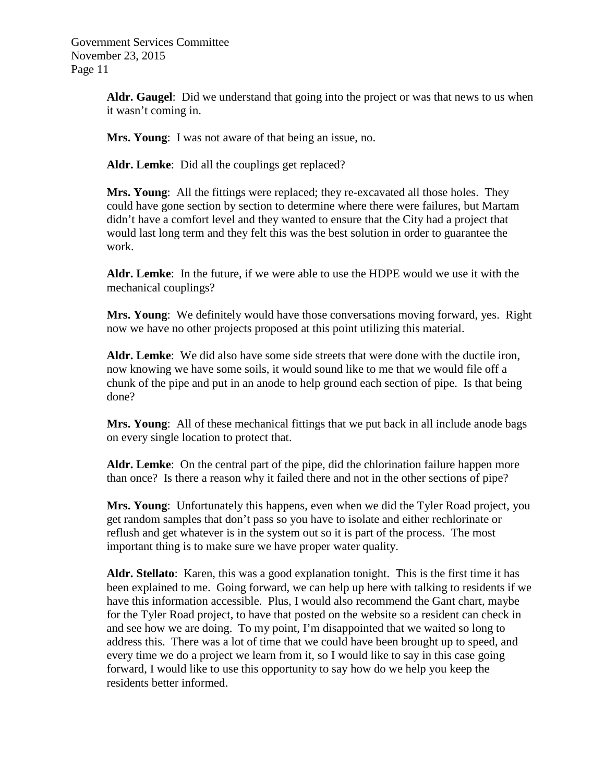> **Aldr. Gaugel**: Did we understand that going into the project or was that news to us when it wasn't coming in.

**Mrs. Young**: I was not aware of that being an issue, no.

**Aldr. Lemke**: Did all the couplings get replaced?

**Mrs. Young**: All the fittings were replaced; they re-excavated all those holes. They could have gone section by section to determine where there were failures, but Martam didn't have a comfort level and they wanted to ensure that the City had a project that would last long term and they felt this was the best solution in order to guarantee the work.

**Aldr. Lemke**: In the future, if we were able to use the HDPE would we use it with the mechanical couplings?

**Mrs. Young**: We definitely would have those conversations moving forward, yes. Right now we have no other projects proposed at this point utilizing this material.

**Aldr. Lemke**: We did also have some side streets that were done with the ductile iron, now knowing we have some soils, it would sound like to me that we would file off a chunk of the pipe and put in an anode to help ground each section of pipe. Is that being done?

**Mrs. Young**: All of these mechanical fittings that we put back in all include anode bags on every single location to protect that.

**Aldr. Lemke**: On the central part of the pipe, did the chlorination failure happen more than once? Is there a reason why it failed there and not in the other sections of pipe?

**Mrs. Young**: Unfortunately this happens, even when we did the Tyler Road project, you get random samples that don't pass so you have to isolate and either rechlorinate or reflush and get whatever is in the system out so it is part of the process. The most important thing is to make sure we have proper water quality.

**Aldr. Stellato**: Karen, this was a good explanation tonight. This is the first time it has been explained to me. Going forward, we can help up here with talking to residents if we have this information accessible. Plus, I would also recommend the Gant chart, maybe for the Tyler Road project, to have that posted on the website so a resident can check in and see how we are doing. To my point, I'm disappointed that we waited so long to address this. There was a lot of time that we could have been brought up to speed, and every time we do a project we learn from it, so I would like to say in this case going forward, I would like to use this opportunity to say how do we help you keep the residents better informed.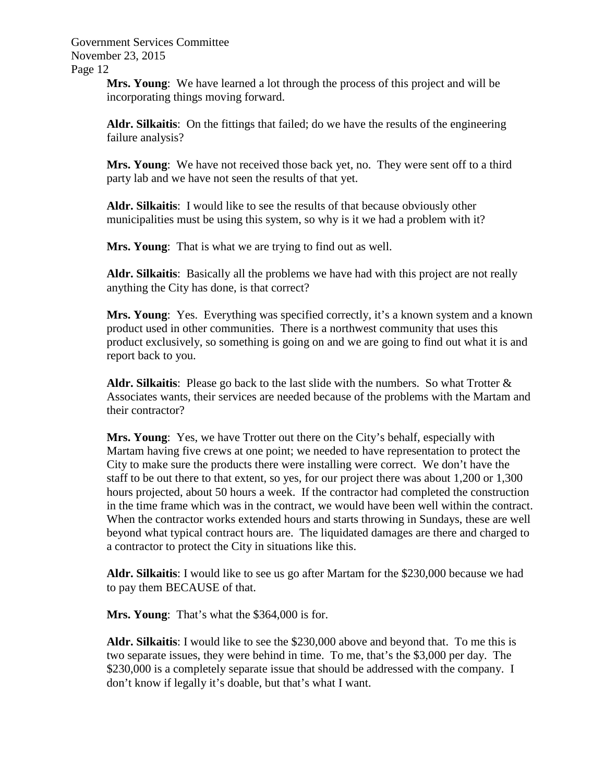> **Mrs. Young**: We have learned a lot through the process of this project and will be incorporating things moving forward.

**Aldr. Silkaitis**: On the fittings that failed; do we have the results of the engineering failure analysis?

**Mrs. Young**: We have not received those back yet, no. They were sent off to a third party lab and we have not seen the results of that yet.

**Aldr. Silkaitis**: I would like to see the results of that because obviously other municipalities must be using this system, so why is it we had a problem with it?

**Mrs. Young**: That is what we are trying to find out as well.

**Aldr. Silkaitis**: Basically all the problems we have had with this project are not really anything the City has done, is that correct?

Mrs. Young: Yes. Everything was specified correctly, it's a known system and a known product used in other communities. There is a northwest community that uses this product exclusively, so something is going on and we are going to find out what it is and report back to you.

**Aldr. Silkaitis**: Please go back to the last slide with the numbers. So what Trotter & Associates wants, their services are needed because of the problems with the Martam and their contractor?

**Mrs. Young**: Yes, we have Trotter out there on the City's behalf, especially with Martam having five crews at one point; we needed to have representation to protect the City to make sure the products there were installing were correct. We don't have the staff to be out there to that extent, so yes, for our project there was about 1,200 or 1,300 hours projected, about 50 hours a week. If the contractor had completed the construction in the time frame which was in the contract, we would have been well within the contract. When the contractor works extended hours and starts throwing in Sundays, these are well beyond what typical contract hours are. The liquidated damages are there and charged to a contractor to protect the City in situations like this.

**Aldr. Silkaitis**: I would like to see us go after Martam for the \$230,000 because we had to pay them BECAUSE of that.

**Mrs. Young**: That's what the \$364,000 is for.

**Aldr. Silkaitis**: I would like to see the \$230,000 above and beyond that. To me this is two separate issues, they were behind in time. To me, that's the \$3,000 per day. The \$230,000 is a completely separate issue that should be addressed with the company. I don't know if legally it's doable, but that's what I want.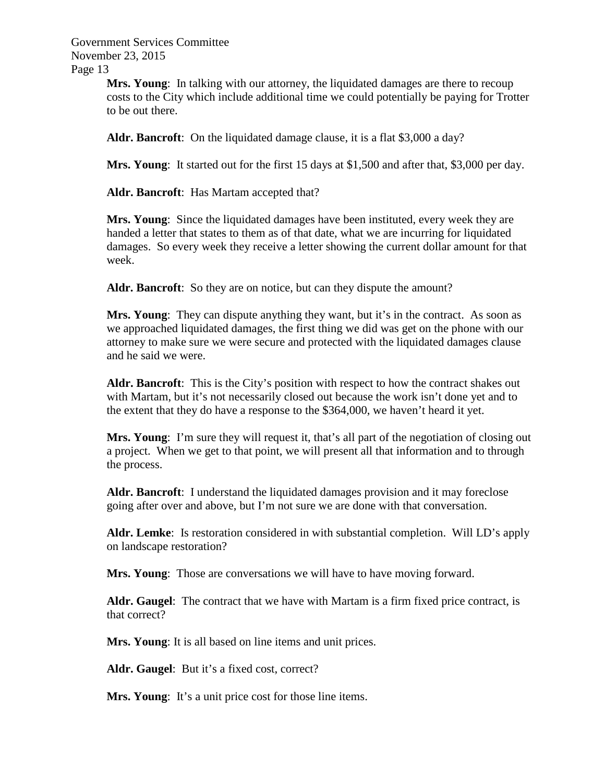> **Mrs. Young**: In talking with our attorney, the liquidated damages are there to recoup costs to the City which include additional time we could potentially be paying for Trotter to be out there.

**Aldr. Bancroft**: On the liquidated damage clause, it is a flat \$3,000 a day?

**Mrs. Young**: It started out for the first 15 days at \$1,500 and after that, \$3,000 per day.

**Aldr. Bancroft**: Has Martam accepted that?

**Mrs. Young**: Since the liquidated damages have been instituted, every week they are handed a letter that states to them as of that date, what we are incurring for liquidated damages. So every week they receive a letter showing the current dollar amount for that week.

**Aldr. Bancroft**: So they are on notice, but can they dispute the amount?

**Mrs. Young**: They can dispute anything they want, but it's in the contract. As soon as we approached liquidated damages, the first thing we did was get on the phone with our attorney to make sure we were secure and protected with the liquidated damages clause and he said we were.

**Aldr. Bancroft**: This is the City's position with respect to how the contract shakes out with Martam, but it's not necessarily closed out because the work isn't done yet and to the extent that they do have a response to the \$364,000, we haven't heard it yet.

**Mrs. Young**: I'm sure they will request it, that's all part of the negotiation of closing out a project. When we get to that point, we will present all that information and to through the process.

**Aldr. Bancroft**: I understand the liquidated damages provision and it may foreclose going after over and above, but I'm not sure we are done with that conversation.

**Aldr. Lemke**: Is restoration considered in with substantial completion. Will LD's apply on landscape restoration?

**Mrs. Young**: Those are conversations we will have to have moving forward.

**Aldr. Gaugel**: The contract that we have with Martam is a firm fixed price contract, is that correct?

**Mrs. Young**: It is all based on line items and unit prices.

**Aldr. Gaugel**: But it's a fixed cost, correct?

**Mrs. Young:** It's a unit price cost for those line items.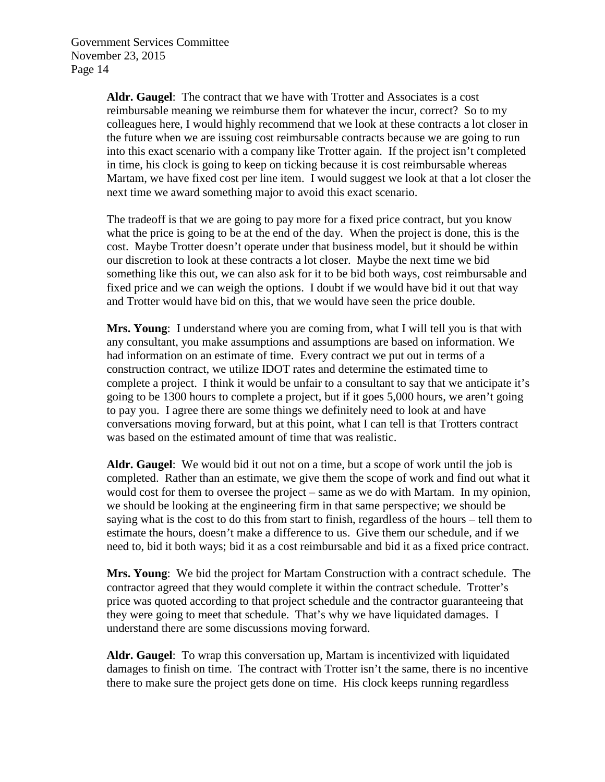> **Aldr. Gaugel**: The contract that we have with Trotter and Associates is a cost reimbursable meaning we reimburse them for whatever the incur, correct? So to my colleagues here, I would highly recommend that we look at these contracts a lot closer in the future when we are issuing cost reimbursable contracts because we are going to run into this exact scenario with a company like Trotter again. If the project isn't completed in time, his clock is going to keep on ticking because it is cost reimbursable whereas Martam, we have fixed cost per line item. I would suggest we look at that a lot closer the next time we award something major to avoid this exact scenario.

> The tradeoff is that we are going to pay more for a fixed price contract, but you know what the price is going to be at the end of the day. When the project is done, this is the cost. Maybe Trotter doesn't operate under that business model, but it should be within our discretion to look at these contracts a lot closer. Maybe the next time we bid something like this out, we can also ask for it to be bid both ways, cost reimbursable and fixed price and we can weigh the options. I doubt if we would have bid it out that way and Trotter would have bid on this, that we would have seen the price double.

> **Mrs. Young**: I understand where you are coming from, what I will tell you is that with any consultant, you make assumptions and assumptions are based on information. We had information on an estimate of time. Every contract we put out in terms of a construction contract, we utilize IDOT rates and determine the estimated time to complete a project. I think it would be unfair to a consultant to say that we anticipate it's going to be 1300 hours to complete a project, but if it goes 5,000 hours, we aren't going to pay you. I agree there are some things we definitely need to look at and have conversations moving forward, but at this point, what I can tell is that Trotters contract was based on the estimated amount of time that was realistic.

> **Aldr. Gaugel**: We would bid it out not on a time, but a scope of work until the job is completed. Rather than an estimate, we give them the scope of work and find out what it would cost for them to oversee the project – same as we do with Martam. In my opinion, we should be looking at the engineering firm in that same perspective; we should be saying what is the cost to do this from start to finish, regardless of the hours – tell them to estimate the hours, doesn't make a difference to us. Give them our schedule, and if we need to, bid it both ways; bid it as a cost reimbursable and bid it as a fixed price contract.

> **Mrs. Young**: We bid the project for Martam Construction with a contract schedule. The contractor agreed that they would complete it within the contract schedule. Trotter's price was quoted according to that project schedule and the contractor guaranteeing that they were going to meet that schedule. That's why we have liquidated damages. I understand there are some discussions moving forward.

> **Aldr. Gaugel**: To wrap this conversation up, Martam is incentivized with liquidated damages to finish on time. The contract with Trotter isn't the same, there is no incentive there to make sure the project gets done on time. His clock keeps running regardless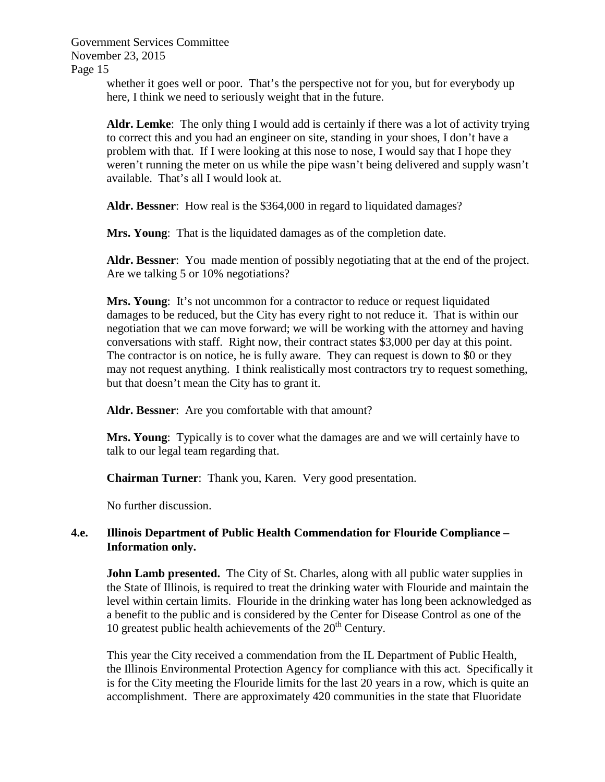> whether it goes well or poor. That's the perspective not for you, but for everybody up here, I think we need to seriously weight that in the future.

**Aldr. Lemke**: The only thing I would add is certainly if there was a lot of activity trying to correct this and you had an engineer on site, standing in your shoes, I don't have a problem with that. If I were looking at this nose to nose, I would say that I hope they weren't running the meter on us while the pipe wasn't being delivered and supply wasn't available. That's all I would look at.

**Aldr. Bessner**: How real is the \$364,000 in regard to liquidated damages?

**Mrs. Young**: That is the liquidated damages as of the completion date.

**Aldr. Bessner**: You made mention of possibly negotiating that at the end of the project. Are we talking 5 or 10% negotiations?

**Mrs. Young**: It's not uncommon for a contractor to reduce or request liquidated damages to be reduced, but the City has every right to not reduce it. That is within our negotiation that we can move forward; we will be working with the attorney and having conversations with staff. Right now, their contract states \$3,000 per day at this point. The contractor is on notice, he is fully aware. They can request is down to \$0 or they may not request anything. I think realistically most contractors try to request something, but that doesn't mean the City has to grant it.

**Aldr. Bessner**: Are you comfortable with that amount?

**Mrs. Young**: Typically is to cover what the damages are and we will certainly have to talk to our legal team regarding that.

**Chairman Turner**: Thank you, Karen. Very good presentation.

No further discussion.

## **4.e. Illinois Department of Public Health Commendation for Flouride Compliance – Information only.**

**John Lamb presented.** The City of St. Charles, along with all public water supplies in the State of Illinois, is required to treat the drinking water with Flouride and maintain the level within certain limits. Flouride in the drinking water has long been acknowledged as a benefit to the public and is considered by the Center for Disease Control as one of the 10 greatest public health achievements of the  $20<sup>th</sup>$  Century.

This year the City received a commendation from the IL Department of Public Health, the Illinois Environmental Protection Agency for compliance with this act. Specifically it is for the City meeting the Flouride limits for the last 20 years in a row, which is quite an accomplishment. There are approximately 420 communities in the state that Fluoridate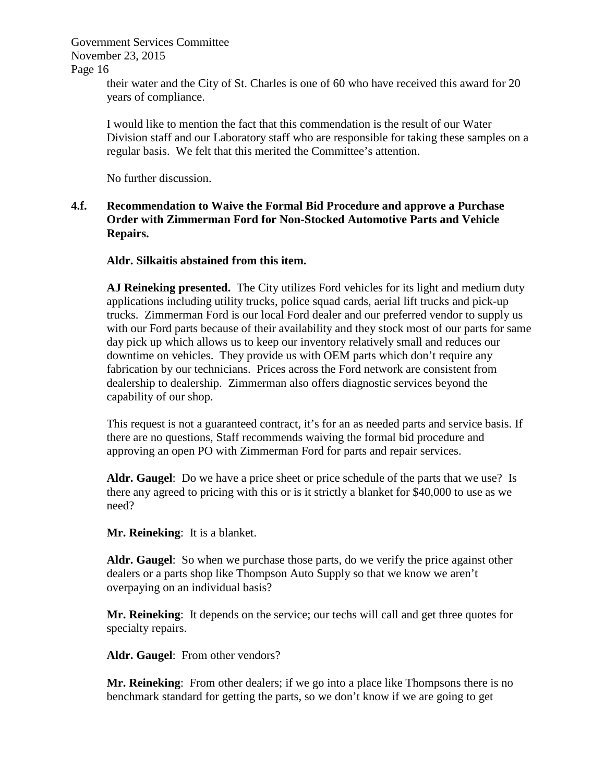Page 16

their water and the City of St. Charles is one of 60 who have received this award for 20 years of compliance.

I would like to mention the fact that this commendation is the result of our Water Division staff and our Laboratory staff who are responsible for taking these samples on a regular basis. We felt that this merited the Committee's attention.

No further discussion.

## **4.f. Recommendation to Waive the Formal Bid Procedure and approve a Purchase Order with Zimmerman Ford for Non-Stocked Automotive Parts and Vehicle Repairs.**

## **Aldr. Silkaitis abstained from this item.**

**AJ Reineking presented.** The City utilizes Ford vehicles for its light and medium duty applications including utility trucks, police squad cards, aerial lift trucks and pick-up trucks.Zimmerman Ford is our local Ford dealer and our preferred vendor to supply us with our Ford parts because of their availability and they stock most of our parts for same day pick up which allows us to keep our inventory relatively small and reduces our downtime on vehicles. They provide us with OEM parts which don't require any fabrication by our technicians. Prices across the Ford network are consistent from dealership to dealership. Zimmerman also offers diagnostic services beyond the capability of our shop.

This request is not a guaranteed contract, it's for an as needed parts and service basis. If there are no questions, Staff recommends waiving the formal bid procedure and approving an open PO with Zimmerman Ford for parts and repair services.

Aldr. Gaugel: Do we have a price sheet or price schedule of the parts that we use? Is there any agreed to pricing with this or is it strictly a blanket for \$40,000 to use as we need?

**Mr. Reineking**: It is a blanket.

**Aldr. Gaugel**: So when we purchase those parts, do we verify the price against other dealers or a parts shop like Thompson Auto Supply so that we know we aren't overpaying on an individual basis?

**Mr. Reineking**: It depends on the service; our techs will call and get three quotes for specialty repairs.

**Aldr. Gaugel**: From other vendors?

**Mr. Reineking**: From other dealers; if we go into a place like Thompsons there is no benchmark standard for getting the parts, so we don't know if we are going to get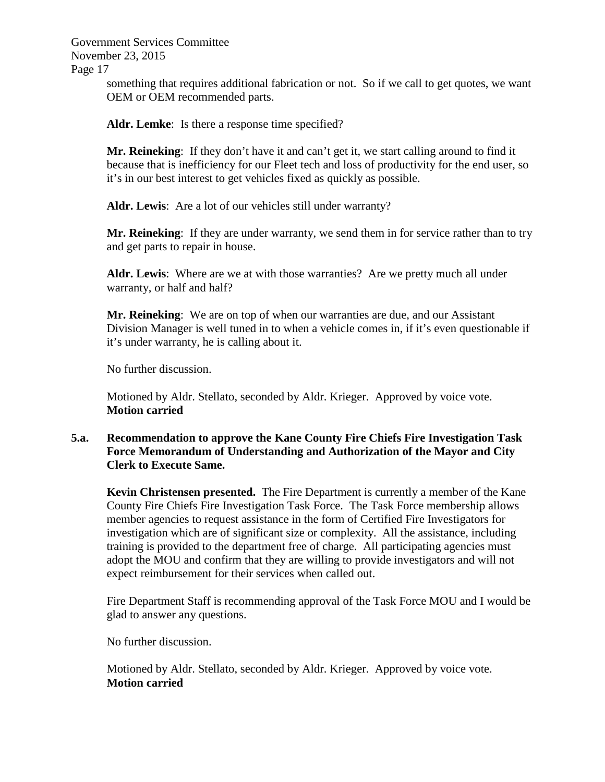> something that requires additional fabrication or not. So if we call to get quotes, we want OEM or OEM recommended parts.

**Aldr. Lemke**: Is there a response time specified?

**Mr. Reineking**: If they don't have it and can't get it, we start calling around to find it because that is inefficiency for our Fleet tech and loss of productivity for the end user, so it's in our best interest to get vehicles fixed as quickly as possible.

**Aldr. Lewis**: Are a lot of our vehicles still under warranty?

**Mr. Reineking**: If they are under warranty, we send them in for service rather than to try and get parts to repair in house.

**Aldr. Lewis**: Where are we at with those warranties? Are we pretty much all under warranty, or half and half?

**Mr. Reineking**: We are on top of when our warranties are due, and our Assistant Division Manager is well tuned in to when a vehicle comes in, if it's even questionable if it's under warranty, he is calling about it.

No further discussion.

Motioned by Aldr. Stellato, seconded by Aldr. Krieger. Approved by voice vote. **Motion carried**

### **5.a. Recommendation to approve the Kane County Fire Chiefs Fire Investigation Task Force Memorandum of Understanding and Authorization of the Mayor and City Clerk to Execute Same.**

**Kevin Christensen presented.** The Fire Department is currently a member of the Kane County Fire Chiefs Fire Investigation Task Force. The Task Force membership allows member agencies to request assistance in the form of Certified Fire Investigators for investigation which are of significant size or complexity. All the assistance, including training is provided to the department free of charge. All participating agencies must adopt the MOU and confirm that they are willing to provide investigators and will not expect reimbursement for their services when called out.

Fire Department Staff is recommending approval of the Task Force MOU and I would be glad to answer any questions.

No further discussion.

Motioned by Aldr. Stellato, seconded by Aldr. Krieger. Approved by voice vote. **Motion carried**